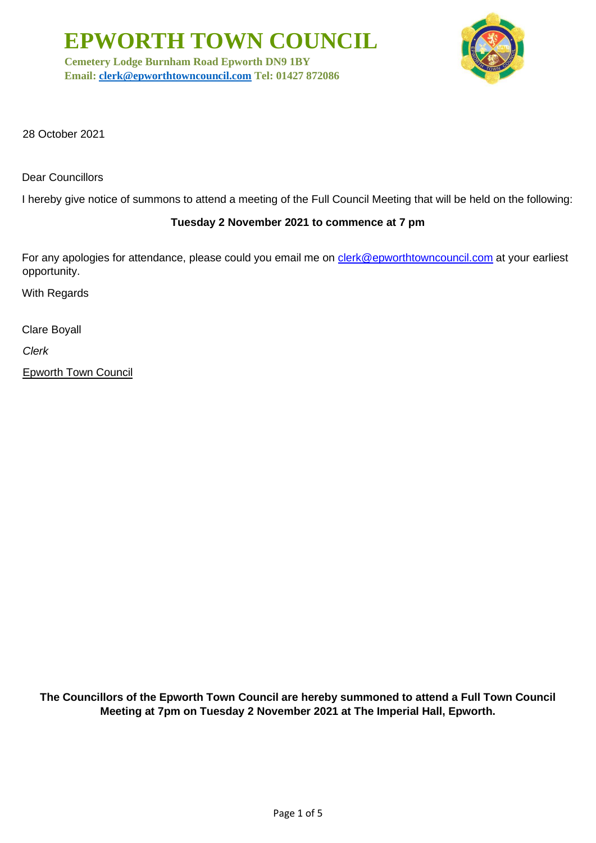**EPWORTH TOWN COUNCIL**

**Cemetery Lodge Burnham Road Epworth DN9 1BY Email: [clerk@epworthtowncouncil.com](mailto:clerk@epworthtowncouncil.com) Tel: 01427 872086**



28 October 2021

Dear Councillors

I hereby give notice of summons to attend a meeting of the Full Council Meeting that will be held on the following:

# **Tuesday 2 November 2021 to commence at 7 pm**

For any apologies for attendance, please could you email me on clerk@epworthtowncouncil.com at your earliest opportunity.

With Regards

Clare Boyall

*Clerk*

Epworth Town Council

**The Councillors of the Epworth Town Council are hereby summoned to attend a Full Town Council Meeting at 7pm on Tuesday 2 November 2021 at The Imperial Hall, Epworth.**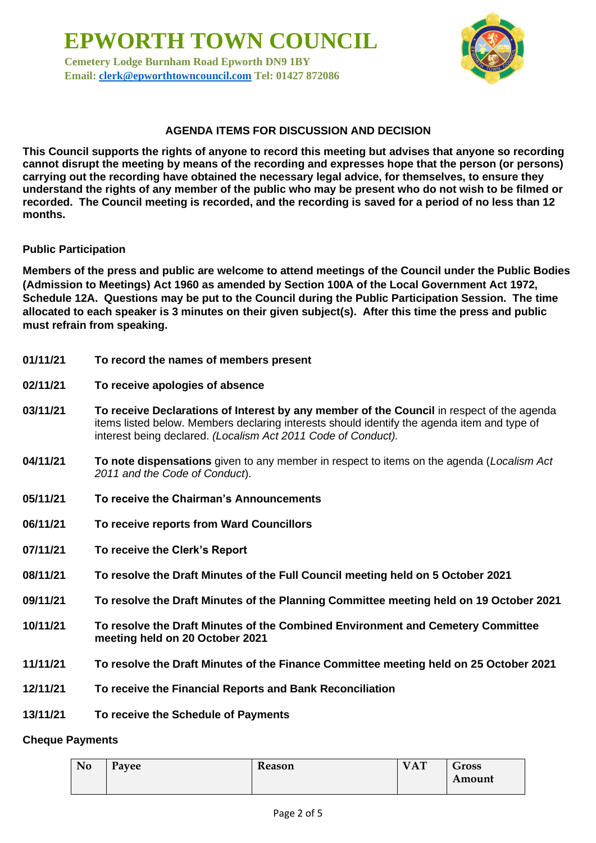**EPWORTH TOWN COUNCIL Cemetery Lodge Burnham Road Epworth DN9 1BY Email: [clerk@epworthtowncouncil.com](mailto:clerk@epworthtowncouncil.com) Tel: 01427 872086**



## **AGENDA ITEMS FOR DISCUSSION AND DECISION**

**This Council supports the rights of anyone to record this meeting but advises that anyone so recording cannot disrupt the meeting by means of the recording and expresses hope that the person (or persons) carrying out the recording have obtained the necessary legal advice, for themselves, to ensure they understand the rights of any member of the public who may be present who do not wish to be filmed or recorded. The Council meeting is recorded, and the recording is saved for a period of no less than 12 months.**

### **Public Participation**

**Members of the press and public are welcome to attend meetings of the Council under the Public Bodies (Admission to Meetings) Act 1960 as amended by Section 100A of the Local Government Act 1972, Schedule 12A. Questions may be put to the Council during the Public Participation Session. The time allocated to each speaker is 3 minutes on their given subject(s). After this time the press and public must refrain from speaking.**

- **01/11/21 To record the names of members present**
- **02/11/21 To receive apologies of absence**
- **03/11/21 To receive Declarations of Interest by any member of the Council** in respect of the agenda items listed below. Members declaring interests should identify the agenda item and type of interest being declared. *(Localism Act 2011 Code of Conduct).*
- **04/11/21 To note dispensations** given to any member in respect to items on the agenda (*Localism Act 2011 and the Code of Conduct*).
- **05/11/21 To receive the Chairman's Announcements**
- **06/11/21 To receive reports from Ward Councillors**
- **07/11/21 To receive the Clerk's Report**
- **08/11/21 To resolve the Draft Minutes of the Full Council meeting held on 5 October 2021**
- **09/11/21 To resolve the Draft Minutes of the Planning Committee meeting held on 19 October 2021**
- **10/11/21 To resolve the Draft Minutes of the Combined Environment and Cemetery Committee meeting held on 20 October 2021**
- **11/11/21 To resolve the Draft Minutes of the Finance Committee meeting held on 25 October 2021**
- **12/11/21 To receive the Financial Reports and Bank Reconciliation**
- **13/11/21 To receive the Schedule of Payments**

#### **Cheque Payments**

| No | Payee | Reason | <b>VAT</b> | Gross  |
|----|-------|--------|------------|--------|
|    |       |        |            | Amount |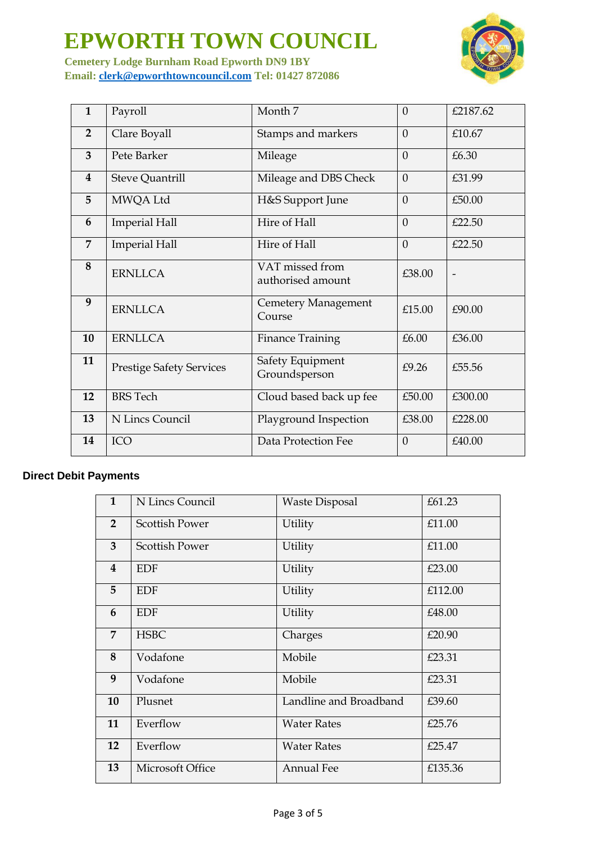# **EPWORTH TOWN COUNCIL**

**Cemetery Lodge Burnham Road Epworth DN9 1BY Email: [clerk@epworthtowncouncil.com](mailto:clerk@epworthtowncouncil.com) Tel: 01427 872086**

| $\mathbf{1}$   | Payroll                         | Month <sub>7</sub>                   | $\overline{0}$ | £2187.62 |
|----------------|---------------------------------|--------------------------------------|----------------|----------|
| $\overline{2}$ | Clare Boyall                    | Stamps and markers                   | $\theta$       | £10.67   |
| 3              | Pete Barker                     | Mileage                              | $\theta$       | £6.30    |
| 4              | <b>Steve Quantrill</b>          | Mileage and DBS Check                | $\Omega$       | £31.99   |
| 5              | MWQA Ltd                        | H&S Support June                     | $\theta$       | £50.00   |
| 6              | <b>Imperial Hall</b>            | Hire of Hall                         | $\overline{0}$ | £22.50   |
| 7              | <b>Imperial Hall</b>            | Hire of Hall                         | $\theta$       | £22.50   |
| 8              | <b>ERNLLCA</b>                  | VAT missed from<br>authorised amount | £38.00         |          |
| 9              | <b>ERNLLCA</b>                  | Cemetery Management<br>Course        | £15.00         | £90.00   |
| 10             | <b>ERNLLCA</b>                  | <b>Finance Training</b>              | £6.00          | £36.00   |
| 11             | <b>Prestige Safety Services</b> | Safety Equipment<br>Groundsperson    | £9.26          | £55.56   |
| 12             | <b>BRS</b> Tech                 | Cloud based back up fee              | £50.00         | £300.00  |
| 13             | N Lincs Council                 | Playground Inspection                | £38.00         | £228.00  |
| 14             | <b>ICO</b>                      | Data Protection Fee                  | $\theta$       | £40.00   |

# **Direct Debit Payments**

| $\mathbf{1}$   | N Lincs Council       | <b>Waste Disposal</b>  | £61.23  |
|----------------|-----------------------|------------------------|---------|
| $\overline{2}$ | <b>Scottish Power</b> | Utility                | £11.00  |
| $\overline{3}$ | <b>Scottish Power</b> | Utility                | £11.00  |
| $\overline{4}$ | <b>EDF</b>            | Utility                | £23.00  |
| 5              | <b>EDF</b>            | Utility                | £112.00 |
| 6              | <b>EDF</b>            | Utility                | £48.00  |
| $\overline{7}$ | <b>HSBC</b>           | Charges                | £20.90  |
| 8              | Vodafone              | Mobile                 | £23.31  |
| 9              | Vodafone              | Mobile                 | £23.31  |
| 10             | Plusnet               | Landline and Broadband | £39.60  |
| 11             | Everflow              | <b>Water Rates</b>     | £25.76  |
| 12             | Everflow              | <b>Water Rates</b>     | £25.47  |
| 13             | Microsoft Office      | <b>Annual Fee</b>      | £135.36 |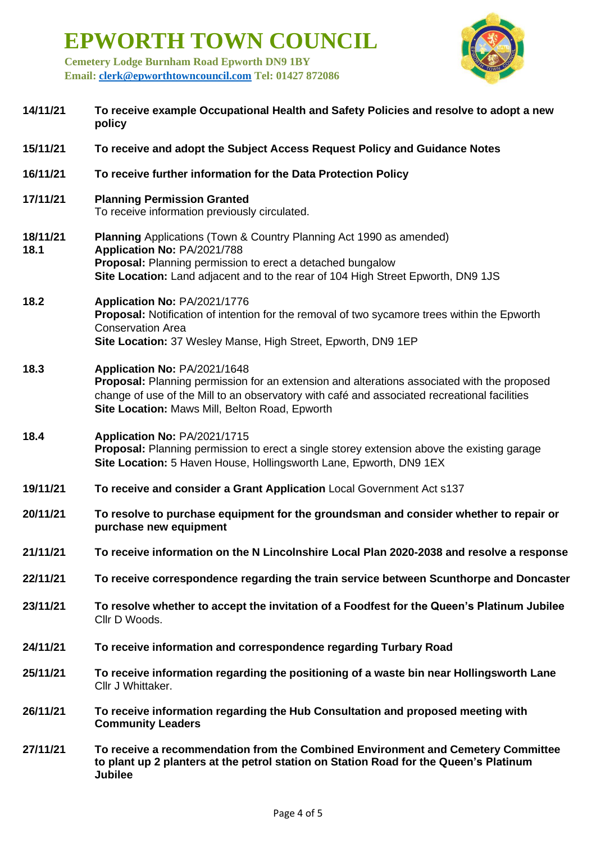**EPWORTH TOWN COUNCIL**

**Cemetery Lodge Burnham Road Epworth DN9 1BY Email: [clerk@epworthtowncouncil.com](mailto:clerk@epworthtowncouncil.com) Tel: 01427 872086**



| 14/11/21         | To receive example Occupational Health and Safety Policies and resolve to adopt a new<br>policy                                                                                                                                                                                      |  |
|------------------|--------------------------------------------------------------------------------------------------------------------------------------------------------------------------------------------------------------------------------------------------------------------------------------|--|
| 15/11/21         | To receive and adopt the Subject Access Request Policy and Guidance Notes                                                                                                                                                                                                            |  |
| 16/11/21         | To receive further information for the Data Protection Policy                                                                                                                                                                                                                        |  |
| 17/11/21         | <b>Planning Permission Granted</b><br>To receive information previously circulated.                                                                                                                                                                                                  |  |
| 18/11/21<br>18.1 | <b>Planning Applications (Town &amp; Country Planning Act 1990 as amended)</b><br>Application No: PA/2021/788<br>Proposal: Planning permission to erect a detached bungalow<br>Site Location: Land adjacent and to the rear of 104 High Street Epworth, DN9 1JS                      |  |
| 18.2             | Application No: PA/2021/1776<br>Proposal: Notification of intention for the removal of two sycamore trees within the Epworth<br><b>Conservation Area</b><br>Site Location: 37 Wesley Manse, High Street, Epworth, DN9 1EP                                                            |  |
| 18.3             | Application No: PA/2021/1648<br><b>Proposal:</b> Planning permission for an extension and alterations associated with the proposed<br>change of use of the Mill to an observatory with café and associated recreational facilities<br>Site Location: Maws Mill, Belton Road, Epworth |  |
| 18.4             | Application No: PA/2021/1715<br><b>Proposal:</b> Planning permission to erect a single storey extension above the existing garage<br>Site Location: 5 Haven House, Hollingsworth Lane, Epworth, DN9 1EX                                                                              |  |
| 19/11/21         | To receive and consider a Grant Application Local Government Act s137                                                                                                                                                                                                                |  |
| 20/11/21         | To resolve to purchase equipment for the groundsman and consider whether to repair or<br>purchase new equipment                                                                                                                                                                      |  |
| 21/11/21         | To receive information on the N Lincolnshire Local Plan 2020-2038 and resolve a response                                                                                                                                                                                             |  |
| 22/11/21         | To receive correspondence regarding the train service between Scunthorpe and Doncaster                                                                                                                                                                                               |  |
| 23/11/21         | To resolve whether to accept the invitation of a Foodfest for the Queen's Platinum Jubilee<br>Cllr D Woods.                                                                                                                                                                          |  |
| 24/11/21         | To receive information and correspondence regarding Turbary Road                                                                                                                                                                                                                     |  |
| 25/11/21         | To receive information regarding the positioning of a waste bin near Hollingsworth Lane<br>Cllr J Whittaker.                                                                                                                                                                         |  |
| 26/11/21         | To receive information regarding the Hub Consultation and proposed meeting with<br><b>Community Leaders</b>                                                                                                                                                                          |  |
| 27/11/21         | To receive a recommendation from the Combined Environment and Cemetery Committee<br>to plant up 2 planters at the petrol station on Station Road for the Queen's Platinum<br><b>Jubilee</b>                                                                                          |  |